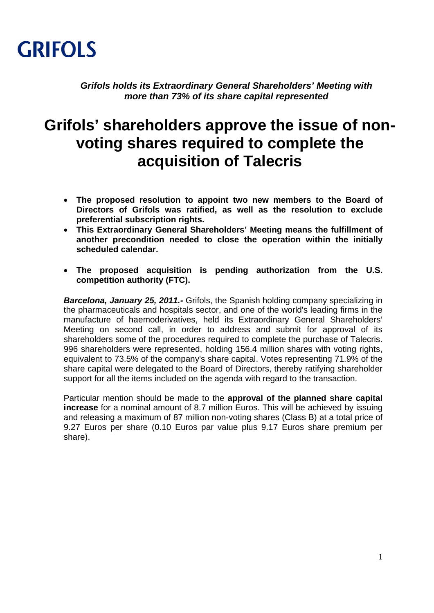

*Grifols holds its Extraordinary General Shareholders' Meeting with more than 73% of its share capital represented* 

## **Grifols' shareholders approve the issue of nonvoting shares required to complete the acquisition of Talecris**

- **The proposed resolution to appoint two new members to the Board of Directors of Grifols was ratified, as well as the resolution to exclude preferential subscription rights.**
- **This Extraordinary General Shareholders' Meeting means the fulfillment of another precondition needed to close the operation within the initially scheduled calendar.**
- **The proposed acquisition is pending authorization from the U.S. competition authority (FTC).**

*Barcelona, January 25, 2011.-* Grifols, the Spanish holding company specializing in the pharmaceuticals and hospitals sector, and one of the world's leading firms in the manufacture of haemoderivatives, held its Extraordinary General Shareholders' Meeting on second call, in order to address and submit for approval of its shareholders some of the procedures required to complete the purchase of Talecris. 996 shareholders were represented, holding 156.4 million shares with voting rights, equivalent to 73.5% of the company's share capital. Votes representing 71.9% of the share capital were delegated to the Board of Directors, thereby ratifying shareholder support for all the items included on the agenda with regard to the transaction.

Particular mention should be made to the **approval of the planned share capital increase** for a nominal amount of 8.7 million Euros. This will be achieved by issuing and releasing a maximum of 87 million non-voting shares (Class B) at a total price of 9.27 Euros per share (0.10 Euros par value plus 9.17 Euros share premium per share).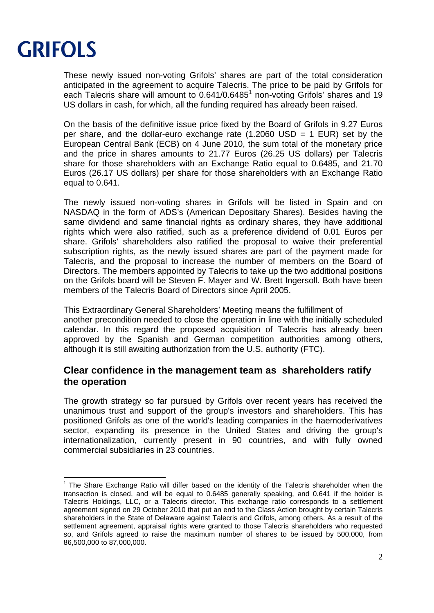

-

These newly issued non-voting Grifols' shares are part of the total consideration anticipated in the agreement to acquire Talecris. The price to be paid by Grifols for each Talecris share will amount to  $0.641/0.6485<sup>1</sup>$  non-voting Grifols' shares and 19 US dollars in cash, for which, all the funding required has already been raised.

On the basis of the definitive issue price fixed by the Board of Grifols in 9.27 Euros per share, and the dollar-euro exchange rate  $(1.2060$  USD = 1 EUR) set by the European Central Bank (ECB) on 4 June 2010, the sum total of the monetary price and the price in shares amounts to 21.77 Euros (26.25 US dollars) per Talecris share for those shareholders with an Exchange Ratio equal to 0.6485, and 21.70 Euros (26.17 US dollars) per share for those shareholders with an Exchange Ratio equal to 0.641.

The newly issued non-voting shares in Grifols will be listed in Spain and on NASDAQ in the form of ADS's (American Depositary Shares). Besides having the same dividend and same financial rights as ordinary shares, they have additional rights which were also ratified, such as a preference dividend of 0.01 Euros per share. Grifols' shareholders also ratified the proposal to waive their preferential subscription rights, as the newly issued shares are part of the payment made for Talecris, and the proposal to increase the number of members on the Board of Directors. The members appointed by Talecris to take up the two additional positions on the Grifols board will be Steven F. Mayer and W. Brett Ingersoll. Both have been members of the Talecris Board of Directors since April 2005.

This Extraordinary General Shareholders' Meeting means the fulfillment of another precondition needed to close the operation in line with the initially scheduled calendar. In this regard the proposed acquisition of Talecris has already been approved by the Spanish and German competition authorities among others, although it is still awaiting authorization from the U.S. authority (FTC).

## **Clear confidence in the management team as shareholders ratify the operation**

The growth strategy so far pursued by Grifols over recent years has received the unanimous trust and support of the group's investors and shareholders. This has positioned Grifols as one of the world's leading companies in the haemoderivatives sector, expanding its presence in the United States and driving the group's internationalization, currently present in 90 countries, and with fully owned commercial subsidiaries in 23 countries.

<sup>&</sup>lt;sup>1</sup> The Share Exchange Ratio will differ based on the identity of the Talecris shareholder when the transaction is closed, and will be equal to 0.6485 generally speaking, and 0.641 if the holder is Talecris Holdings, LLC, or a Talecris director. This exchange ratio corresponds to a settlement agreement signed on 29 October 2010 that put an end to the Class Action brought by certain Talecris shareholders in the State of Delaware against Talecris and Grifols, among others. As a result of the settlement agreement, appraisal rights were granted to those Talecris shareholders who requested so, and Grifols agreed to raise the maximum number of shares to be issued by 500,000, from 86,500,000 to 87,000,000.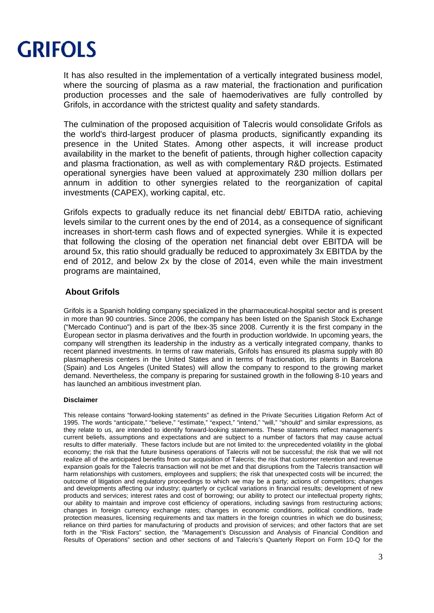

It has also resulted in the implementation of a vertically integrated business model, where the sourcing of plasma as a raw material, the fractionation and purification production processes and the sale of haemoderivatives are fully controlled by Grifols, in accordance with the strictest quality and safety standards.

The culmination of the proposed acquisition of Talecris would consolidate Grifols as the world's third-largest producer of plasma products, significantly expanding its presence in the United States. Among other aspects, it will increase product availability in the market to the benefit of patients, through higher collection capacity and plasma fractionation, as well as with complementary R&D projects. Estimated operational synergies have been valued at approximately 230 million dollars per annum in addition to other synergies related to the reorganization of capital investments (CAPEX), working capital, etc.

Grifols expects to gradually reduce its net financial debt/ EBITDA ratio, achieving levels similar to the current ones by the end of 2014, as a consequence of significant increases in short-term cash flows and of expected synergies. While it is expected that following the closing of the operation net financial debt over EBITDA will be around 5x, this ratio should gradually be reduced to approximately 3x EBITDA by the end of 2012, and below 2x by the close of 2014, even while the main investment programs are maintained,

## **About Grifols**

Grifols is a Spanish holding company specialized in the pharmaceutical-hospital sector and is present in more than 90 countries. Since 2006, the company has been listed on the Spanish Stock Exchange ("Mercado Continuo") and is part of the Ibex-35 since 2008. Currently it is the first company in the European sector in plasma derivatives and the fourth in production worldwide. In upcoming years, the company will strengthen its leadership in the industry as a vertically integrated company, thanks to recent planned investments. In terms of raw materials, Grifols has ensured its plasma supply with 80 plasmapheresis centers in the United States and in terms of fractionation, its plants in Barcelona (Spain) and Los Angeles (United States) will allow the company to respond to the growing market demand. Nevertheless, the company is preparing for sustained growth in the following 8-10 years and has launched an ambitious investment plan.

## **Disclaimer**

This release contains "forward-looking statements" as defined in the Private Securities Litigation Reform Act of 1995. The words "anticipate," "believe," "estimate," "expect," "intend," "will," "should" and similar expressions, as they relate to us, are intended to identify forward-looking statements. These statements reflect management's current beliefs, assumptions and expectations and are subject to a number of factors that may cause actual results to differ materially. These factors include but are not limited to: the unprecedented volatility in the global economy; the risk that the future business operations of Talecris will not be successful; the risk that we will not realize all of the anticipated benefits from our acquisition of Talecris; the risk that customer retention and revenue expansion goals for the Talecris transaction will not be met and that disruptions from the Talecris transaction will harm relationships with customers, employees and suppliers; the risk that unexpected costs will be incurred; the outcome of litigation and regulatory proceedings to which we may be a party; actions of competitors; changes and developments affecting our industry; quarterly or cyclical variations in financial results; development of new products and services; interest rates and cost of borrowing; our ability to protect our intellectual property rights; our ability to maintain and improve cost efficiency of operations, including savings from restructuring actions; changes in foreign currency exchange rates; changes in economic conditions, political conditions, trade protection measures, licensing requirements and tax matters in the foreign countries in which we do business; reliance on third parties for manufacturing of products and provision of services; and other factors that are set forth in the "Risk Factors" section, the "Management's Discussion and Analysis of Financial Condition and Results of Operations" section and other sections of and Talecris's Quarterly Report on Form 10-Q for the